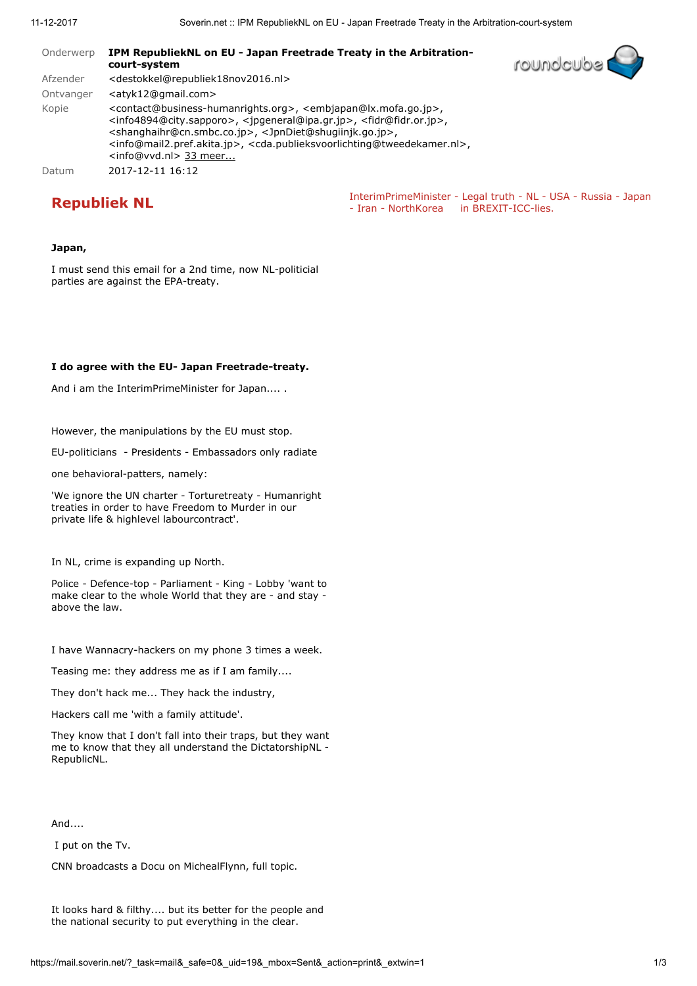| Onderwerp | IPM RepubliekNL on EU - Japan Freetrade Treaty in the Arbitration-<br>court-system                                                                                                                                                                                                                                                                                                                                                                                                                                                                                       | <b>Toundaubs</b>                                                 |  |
|-----------|--------------------------------------------------------------------------------------------------------------------------------------------------------------------------------------------------------------------------------------------------------------------------------------------------------------------------------------------------------------------------------------------------------------------------------------------------------------------------------------------------------------------------------------------------------------------------|------------------------------------------------------------------|--|
| Afzender  | <destokkel@republiek18nov2016.nl></destokkel@republiek18nov2016.nl>                                                                                                                                                                                                                                                                                                                                                                                                                                                                                                      |                                                                  |  |
| Ontvanger | <atyk12@gmail.com></atyk12@gmail.com>                                                                                                                                                                                                                                                                                                                                                                                                                                                                                                                                    |                                                                  |  |
| Kopie     | <contact@business-humanrights.org>, <embjapan@lx.mofa.go.jp>,<br/><info4894@city.sapporo>, <ipgeneral@ipa.gr.jp>, <fidr@fidr.or.jp>,<br/><shanghaihr@cn.smbc.co.jp>, <jpndiet@shugiinjk.go.jp>,<br/><info@mail2.pref.akita.jp>, <cda.publieksvoorlichting@tweedekamer.nl>,<br/><info@vvd.nl> 33 meer</info@vvd.nl></cda.publieksvoorlichting@tweedekamer.nl></info@mail2.pref.akita.jp></jpndiet@shugiinjk.go.jp></shanghaihr@cn.smbc.co.jp></fidr@fidr.or.jp></ipgeneral@ipa.gr.jp></info4894@city.sapporo></embjapan@lx.mofa.go.jp></contact@business-humanrights.org> |                                                                  |  |
| Datum     | 2017-12-11 16:12                                                                                                                                                                                                                                                                                                                                                                                                                                                                                                                                                         |                                                                  |  |
|           |                                                                                                                                                                                                                                                                                                                                                                                                                                                                                                                                                                          | Interim Prime Minister - Legal truth - NL - USA - Pussia - Janar |  |

**Republiek NL**<br>
- InterimPrimeMinister - Legal truth - NL - USA - Russia - Japan<br>
- Iran - NorthKorea in BREXIT-ICC-lies.

## Japan,

I must send this email for a 2nd time, now NL-politicial parties are against the EPA-treaty.

## I do agree with the EU- Japan Freetrade-treaty.

And i am the InterimPrimeMinister for Japan.... .

However, the manipulations by the EU must stop.

EU-politicians - Presidents - Embassadors only radiate

one behavioral-patters, namely:

'We ignore the UN charter - Torturetreaty - Humanright treaties in order to have Freedom to Murder in our private life & highlevel labourcontract'.

In NL, crime is expanding up North.

Police - Defence-top - Parliament - King - Lobby 'want to make clear to the whole World that they are - and stay above the law.

I have Wannacry-hackers on my phone 3 times a week.

Teasing me: they address me as if I am family....

They don't hack me... They hack the industry,

Hackers call me 'with a family attitude'.

They know that I don't fall into their traps, but they want me to know that they all understand the DictatorshipNL - RepublicNL.

And....

I put on the Tv.

CNN broadcasts a Docu on MichealFlynn, full topic.

It looks hard & filthy.... but its better for the people and the national security to put everything in the clear.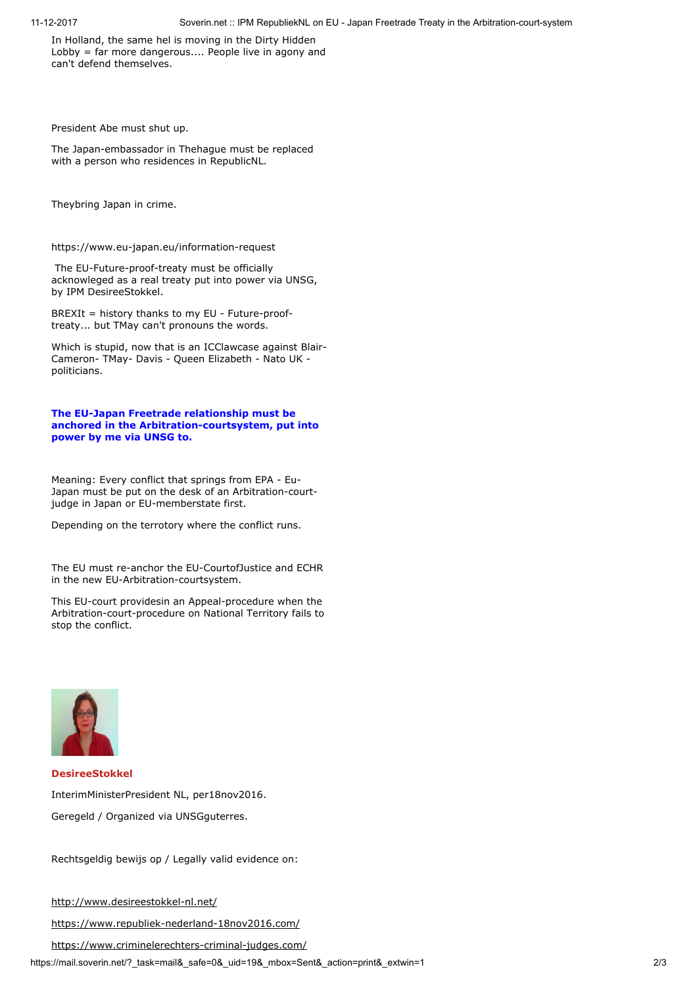In Holland, the same hel is moving in the Dirty Hidden Lobby = far more dangerous.... People live in agony and can't defend themselves.

President Abe must shut up.

The Japan-embassador in Thehague must be replaced with a person who residences in RepublicNL.

Theybring Japan in crime.

https://www.eu-japan.eu/information-request

 The EU-Future-proof-treaty must be officially acknowleged as a real treaty put into power via UNSG, by IPM DesireeStokkel.

BREXIt = history thanks to my EU - Future-prooftreaty... but TMay can't pronouns the words.

Which is stupid, now that is an ICClawcase against Blair-Cameron- TMay- Davis - Queen Elizabeth - Nato UK politicians.

## The EU-Japan Freetrade relationship must be anchored in the Arbitration-courtsystem, put into power by me via UNSG to.

Meaning: Every conflict that springs from EPA - Eu-Japan must be put on the desk of an Arbitration-courtjudge in Japan or EU-memberstate first.

Depending on the terrotory where the conflict runs.

The EU must re-anchor the EU-CourtofJustice and ECHR in the new EU-Arbitration-courtsystem.

This EU-court providesin an Appeal-procedure when the Arbitration-court-procedure on National Territory fails to stop the conflict.



DesireeStokkel InterimMinisterPresident NL, per18nov2016. Geregeld / Organized via UNSGguterres.

Rechtsgeldig bewijs op / Legally valid evidence on:

<http://www.desireestokkel-nl.net/>

<https://www.republiek-nederland-18nov2016.com/>

<https://www.criminelerechters-criminal-judges.com/>

https://mail.soverin.net/?\_task=mail&\_safe=0&\_uid=19&\_mbox=Sent&\_action=print&\_extwin=1 2/3